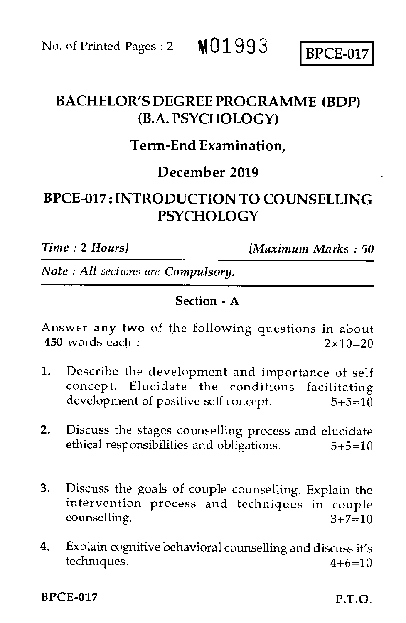# BACHELOR'S DEGREE PROGRAMME (BDP) (BA. PSYCHOLOGY)

## Term-End Examination,

## December 2019

# BPCE-017 : INTRODUCTION TO COUNSELLING **PSYCHOLOGY**

*Time :* 2 *Hours] (Maximum Marks : 50* 

*Note : All sections are Compulsory.* 

#### Section - A

Answer any two of the following questions in about 450 words each :  $2 \times 10 = 20$ 

- 1. Describe the development and importance of self concept. Elucidate the conditions facilitating development of positive self concept.  $5+5=10$
- 2. Discuss the stages counselling process and elucidate ethical responsibilities and obligations.  $5+5=10$
- 3. Discuss the goals of couple counselling. Explain the intervention process and techniques in couple counselling.  $3+7=10$
- 4. Explain cognitive behavioral counselling and discuss it's techniques.  $4+6=10$

BPCE-017 P.T.O.